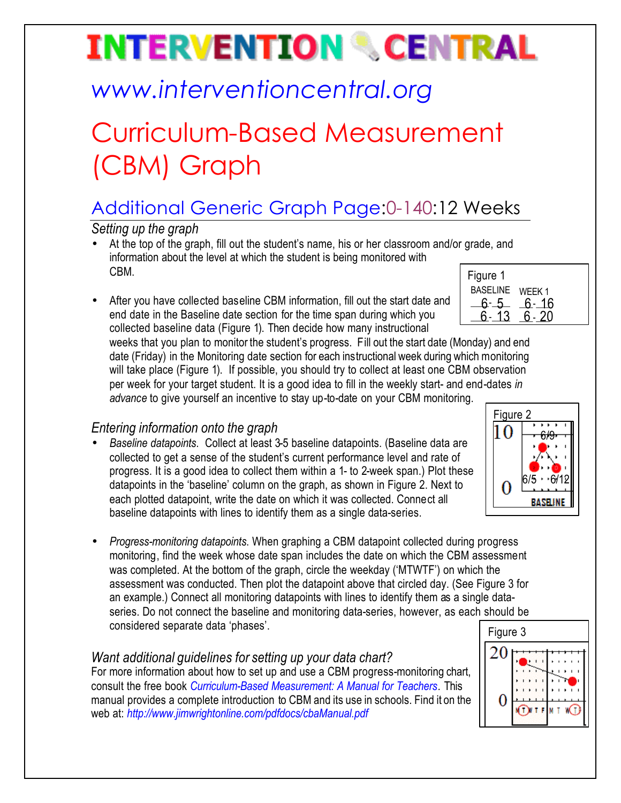# **INTERVENTION & CENTRAL**

## *www.interventioncentral.org*

## Curriculum-Based Measurement (CBM) Graph

### Additional Generic Graph Page:0-140:12 Weeks

*Setting up the graph*

- At the top of the graph, fill out the student's name, his or her classroom and/or grade, and information about the level at which the student is being monitored with CBM.
- After you have collected baseline CBM information, fill out the start date and end date in the Baseline date section for the time span during which you collected baseline data (Figure 1). Then decide how many instructional

| Figure 1        |        |
|-----------------|--------|
| <b>BASELINE</b> | WEEK 1 |
|                 | 6- 16  |
|                 |        |
|                 |        |

weeks that you plan to monitor the student's progress. Fill out the start date (Monday) and end date (Friday) in the Monitoring date section for each instructional week during which monitoring will take place (Figure 1). If possible, you should try to collect at least one CBM observation per week for your target student. It is a good idea to fill in the weekly start- and end-dates *in advance* to give yourself an incentive to stay up-to-date on your CBM monitoring.

### *Entering information onto the graph*

- *Baseline datapoints*. Collect at least 3-5 baseline datapoints. (Baseline data are collected to get a sense of the student's current performance level and rate of progress. It is a good idea to collect them within a 1- to 2-week span.) Plot these datapoints in the 'baseline' column on the graph, as shown in Figure 2. Next to each plotted datapoint, write the date on which it was collected. Connect all baseline datapoints with lines to identify them as a single data-series.
- *Progress-monitoring datapoints*. When graphing a CBM datapoint collected during progress monitoring, find the week whose date span includes the date on which the CBM assessment was completed. At the bottom of the graph, circle the weekday ('MTWTF') on which the assessment was conducted. Then plot the datapoint above that circled day. (See Figure 3 for an example.) Connect all monitoring datapoints with lines to identify them as a single dataseries. Do not connect the baseline and monitoring data-series, however, as each should be considered separate data 'phases'.

#### *Want additional guidelines for setting up your data chart?*

For more information about how to set up and use a CBM progress-monitoring chart, consult the free book *Curriculum-Based Measurement: A Manual for Teachers.* This manual provides a complete introduction to CBM and its use in schools. Find it on the web at: *http://www.jimwrightonline.com/pdfdocs/cbaManual.pdf*